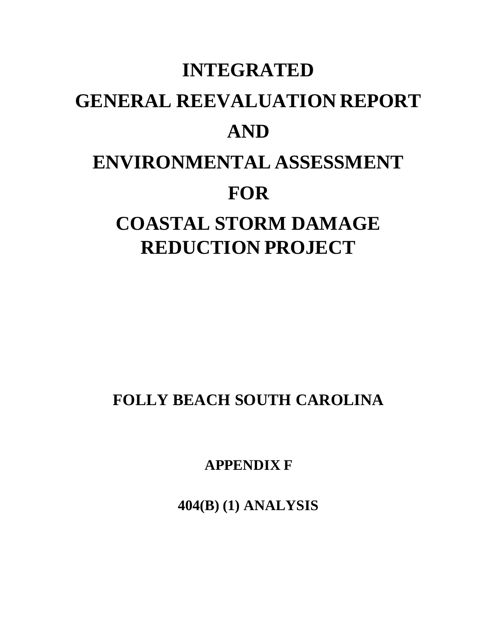# **INTEGRATED GENERAL REEVALUATION REPORT AND ENVIRONMENTAL ASSESSMENT FOR COASTAL STORM DAMAGE REDUCTION PROJECT**

**FOLLY BEACH SOUTH CAROLINA**

**APPENDIX F**

**404(B) (1) ANALYSIS**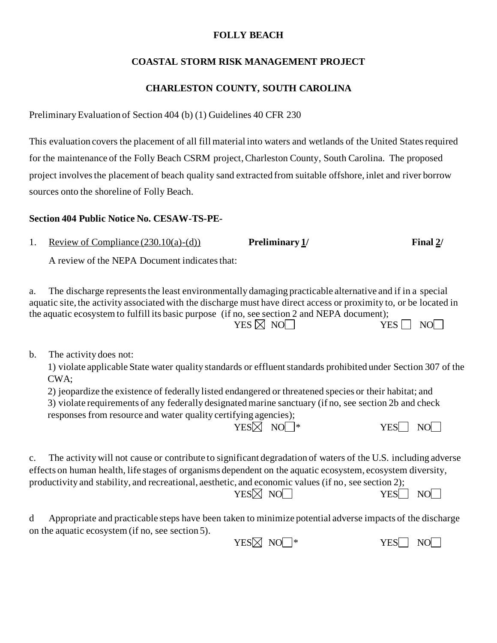## **FOLLY BEACH**

# **COASTAL STORM RISK MANAGEMENT PROJECT**

# **CHARLESTON COUNTY, SOUTH CAROLINA**

Preliminary Evaluation of Section 404 (b) (1) Guidelines 40 CFR 230

This evaluation covers the placement of all fill material into waters and wetlands of the United States required for the maintenance of the Folly Beach CSRM project, Charleston County, South Carolina. The proposed project involves the placement of beach quality sand extracted from suitable offshore, inlet and river borrow sources onto the shoreline of Folly Beach.

## **Section 404 Public Notice No. CESAW-TS-PE-**

1. Review of Compliance (230.10(a)-(d)) **Preliminary 1/ Final 2/**

A review of the NEPA Document indicates that:

a. The discharge represents the least environmentally damaging practicable alternative and if in a special aquatic site, the activity associated with the discharge must have direct access or proximity to, or be located in the aquatic ecosystem to fulfill its basic purpose (if no, see section 2 and NEPA document);  $YES \boxtimes NO$ 

b. The activity does not:

1) violate applicable State water quality standards or effluent standards prohibited under Section 307 of the CWA;

2) jeopardize the existence of federally listed endangered or threatened species or their habitat; and 3) violate requirements of any federally designated marine sanctuary (if no, see section 2b and check responses from resource and water quality certifying agencies);  $YES\boxtimes NO^*$  YES NO

c. The activity will not cause or contribute to significant degradation of waters of the U.S. including adverse effects on human health, life stages of organisms dependent on the aquatic ecosystem, ecosystem diversity, productivity and stability, and recreational, aesthetic, and economic values (if no, see section 2);

 $YES\% NO$  NO YES NO

d Appropriate and practicable steps have been taken to minimize potential adverse impacts of the discharge on the aquatic ecosystem (if no, see section 5).

 $YES\% NO$  NO  $*$  YES NO NO  $VES$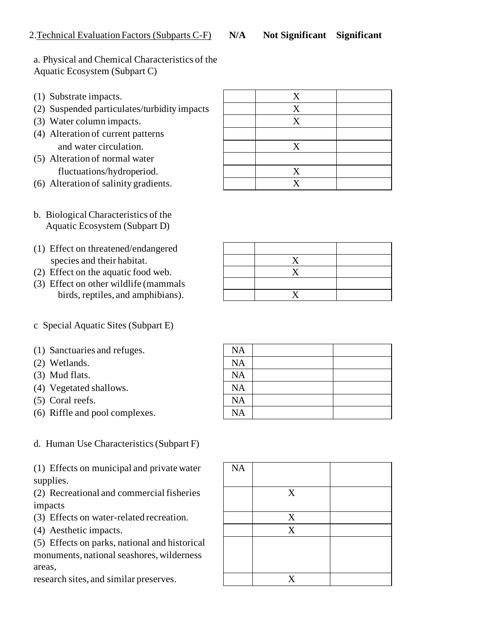# a. Physical and Chemical Characteristics of the Aquatic Ecosystem (Subpart C)

- (1) Substrate impacts.
- (2) Suspended particulates/turbidity impacts X
- (3) Water column impacts.
- (4) Alteration of current patterns and water circulation.
- (5) Alteration of normal water fluctuations/hydroperiod.
- (6) Alteration of salinity gradients. X
- b. Biological Characteristics of the Aquatic Ecosystem (Subpart D)
- (1) Effect on threatened/endangered species and their habitat.
- $(2)$  Effect on the aquatic food web.
- (3) Effect on other wildlife (mammals birds, reptiles, and amphibians). X
- c Special Aquatic Sites (Subpart E)
- $(1)$  Sanctuaries and refuges.
- $(2)$  Wetlands.
- $(3)$  Mud flats.
- $(4)$  Vegetated shallows.
- $(5)$  Coral reefs.
- $(6)$  Riffle and pool complexes.

d. Human Use Characteristics (Subpart F)

(1) Effects on municipal and private water supplies.

(2) Recreational and commercial fisheries impacts

- (3) Effects on water-related recreation.
- (4) Aesthetic impacts.

(5) Effects on parks, national and historical monuments, national seashores, wilderness areas,

research sites, and similar preserves.

| $\boldsymbol{\mathrm{X}}$ |  |
|---------------------------|--|
| $\mathbf X$               |  |
| $\mathbf X$               |  |
|                           |  |
| X                         |  |
|                           |  |
| $\mathbf X$               |  |
| $\mathbf X$               |  |

| NA |  |
|----|--|
| NA |  |
| NA |  |
| NA |  |
| NA |  |
| NA |  |

| NA |                           |  |
|----|---------------------------|--|
|    | $\mathbf X$               |  |
|    | $\mathbf X$               |  |
|    | $\mathbf X$               |  |
|    |                           |  |
|    | $\boldsymbol{\mathrm{X}}$ |  |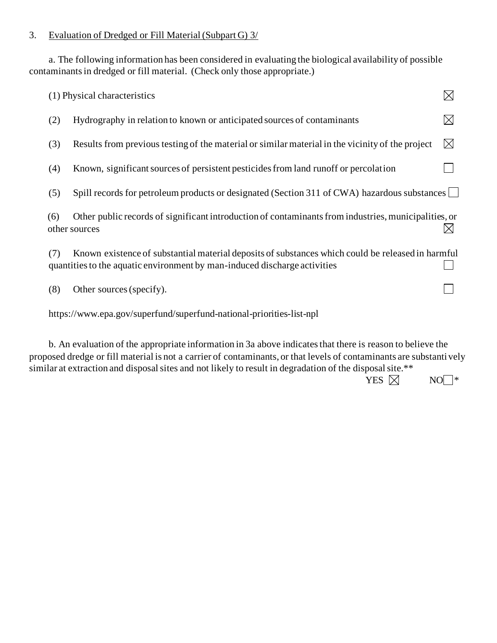### 3. Evaluation of Dredged or Fill Material (Subpart G) 3/

a. The following information has been considered in evaluating the biological availability of possible contaminants in dredged or fill material. (Check only those appropriate.)

|     | (1) Physical characteristics                                                                                                                                                   |             |
|-----|--------------------------------------------------------------------------------------------------------------------------------------------------------------------------------|-------------|
| (2) | Hydrography in relation to known or anticipated sources of contaminants                                                                                                        |             |
| (3) | Results from previous testing of the material or similar material in the vicinity of the project                                                                               | $\boxtimes$ |
| (4) | Known, significant sources of persistent pesticides from land runoff or percolation                                                                                            |             |
| (5) | Spill records for petroleum products or designated (Section 311 of CWA) hazardous substances                                                                                   |             |
| (6) | Other public records of significant introduction of contaminants from industries, municipalities, or<br>other sources                                                          |             |
| (7) | Known existence of substantial material deposits of substances which could be released in harmful<br>quantities to the aquatic environment by man-induced discharge activities |             |
| (8) | Other sources (specify).                                                                                                                                                       |             |
|     | https://www.epa.gov/superfund/superfund-national-priorities-list-npl                                                                                                           |             |
|     | b. An evaluation of the appropriate information in 3a above indicates that there is reason to believe the                                                                      |             |

proposed dredge or fill material is not a carrier of contaminants, or that levels of contaminants are substanti vely similar at extraction and disposal sites and not likely to result in degradation of the disposal site.\*\*

| YES $\boxtimes$ | $NO^-$ |  |
|-----------------|--------|--|
|-----------------|--------|--|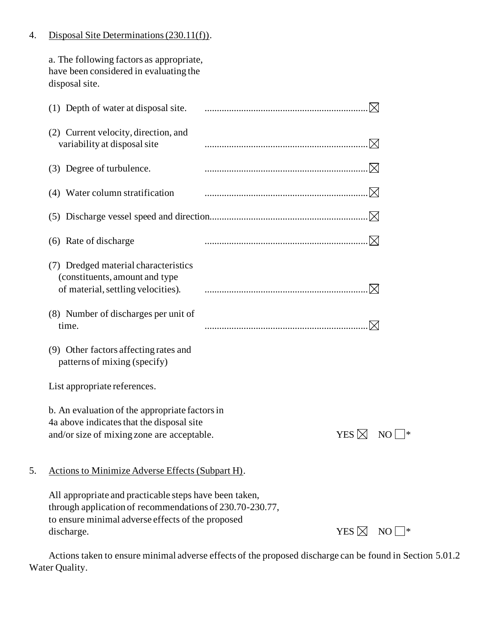### 4. Disposal Site Determinations (230.11(f)).

a. The following factors as appropriate, have been considered in evaluating the disposal site.

|    | (1) Depth of water at disposal site.                                                                                                                                                  |                 |     |
|----|---------------------------------------------------------------------------------------------------------------------------------------------------------------------------------------|-----------------|-----|
|    | (2) Current velocity, direction, and<br>variability at disposal site                                                                                                                  |                 |     |
|    | (3) Degree of turbulence.                                                                                                                                                             | $\bowtie$       |     |
|    | (4) Water column stratification                                                                                                                                                       | .M              |     |
|    |                                                                                                                                                                                       | M               |     |
|    | (6) Rate of discharge                                                                                                                                                                 |                 |     |
|    | (7) Dredged material characteristics<br>(constituents, amount and type<br>of material, settling velocities).                                                                          |                 |     |
|    | (8) Number of discharges per unit of<br>time.                                                                                                                                         |                 |     |
|    | (9) Other factors affecting rates and<br>patterns of mixing (specify)                                                                                                                 |                 |     |
|    | List appropriate references.                                                                                                                                                          |                 |     |
|    | b. An evaluation of the appropriate factors in<br>4a above indicates that the disposal site<br>and/or size of mixing zone are acceptable.                                             | YES $\boxtimes$ | NO. |
| 5. | <b>Actions to Minimize Adverse Effects (Subpart H).</b>                                                                                                                               |                 |     |
|    | All appropriate and practicable steps have been taken,<br>through application of recommendations of 230.70-230.77,<br>to ensure minimal adverse effects of the proposed<br>discharge. | YES $\boxtimes$ | NO  |
|    |                                                                                                                                                                                       |                 |     |

Actions taken to ensure minimal adverse effects of the proposed discharge can be found in Section 5.01.2 Water Quality.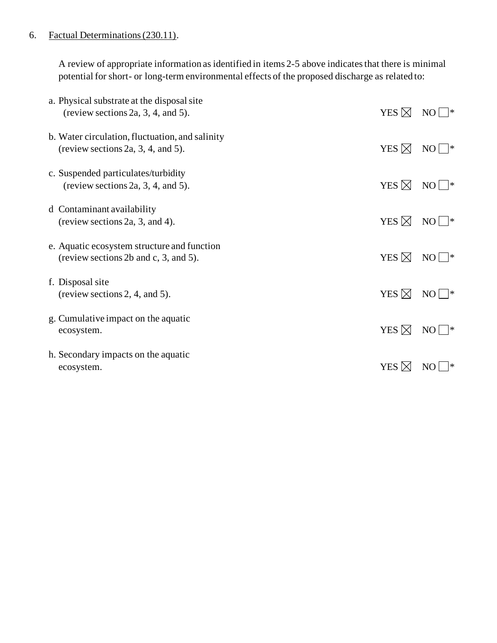### 6. Factual Determinations (230.11).

A review of appropriate information as identified in items 2-5 above indicates that there is minimal potential for short- or long-term environmental effects of the proposed discharge as related to:

| a. Physical substrate at the disposal site<br>(review sections 2a, 3, 4, and 5).      | YES $\boxtimes$ | NO<br>∣∗  |
|---------------------------------------------------------------------------------------|-----------------|-----------|
| b. Water circulation, fluctuation, and salinity<br>(review sections 2a, 3, 4, and 5). | YES $\boxtimes$ | NO<br> *  |
| c. Suspended particulates/turbidity<br>(review sections 2a, 3, 4, and 5).             | YES $\boxtimes$ | NO<br>∣ ≭ |
| d Contaminant availability<br>(review sections 2a, 3, and 4).                         | YES $\boxtimes$ | NO<br> *  |
| e. Aquatic ecosystem structure and function<br>(review sections 2b and c, 3, and 5).  | YES $\boxtimes$ | NO<br> *  |
| f. Disposal site<br>(review sections 2, 4, and 5).                                    | YES $\boxtimes$ | NO<br>∣∗  |
| g. Cumulative impact on the aquatic<br>ecosystem.                                     | YES $\boxtimes$ | NO.<br>∣* |
| h. Secondary impacts on the aquatic<br>ecosystem.                                     | YES $\boxtimes$ | ∗<br>NO   |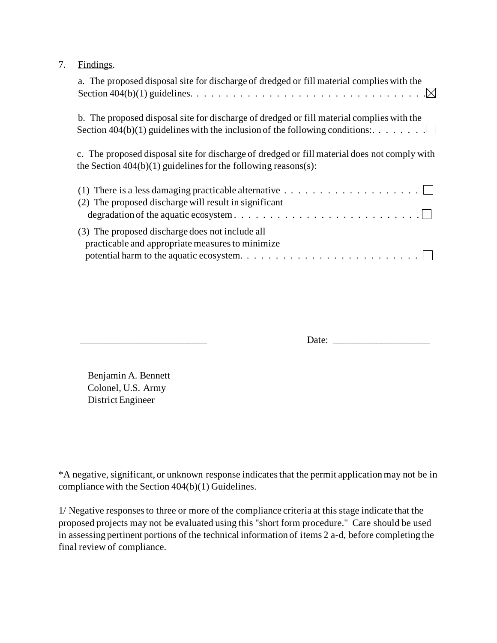| Findings. |  |
|-----------|--|
|-----------|--|

| a. The proposed disposal site for discharge of dredged or fill material complies with the                                                                                                                     |
|---------------------------------------------------------------------------------------------------------------------------------------------------------------------------------------------------------------|
| b. The proposed disposal site for discharge of dredged or fill material complies with the                                                                                                                     |
| c. The proposed disposal site for discharge of dredged or fill material does not comply with<br>the Section $404(b)(1)$ guidelines for the following reasons(s):                                              |
| (2) The proposed discharge will result in significant<br>$degradation of the aquatic ecosystem. \ldots \ldots \ldots \ldots \ldots \ldots \ldots \ldots$                                                      |
| (3) The proposed discharge does not include all<br>practicable and appropriate measures to minimize<br>potential harm to the aquatic ecosystem. $\dots \dots \dots \dots \dots \dots \dots \dots \dots \dots$ |

\_\_\_\_\_\_\_\_\_\_\_\_\_\_\_\_\_\_\_\_\_\_\_\_\_\_ Date: \_\_\_\_\_\_\_\_\_\_\_\_\_\_\_\_\_\_\_\_

Benjamin A. Bennett Colonel, U.S. Army District Engineer

\*A negative, significant, or unknown response indicates that the permit application may not be in compliance with the Section 404(b)(1) Guidelines.

1/ Negative responses to three or more of the compliance criteria at this stage indicate that the proposed projects may not be evaluated using this "short form procedure." Care should be used in assessing pertinent portions of the technical information of items 2 a-d, before completing the final review of compliance.